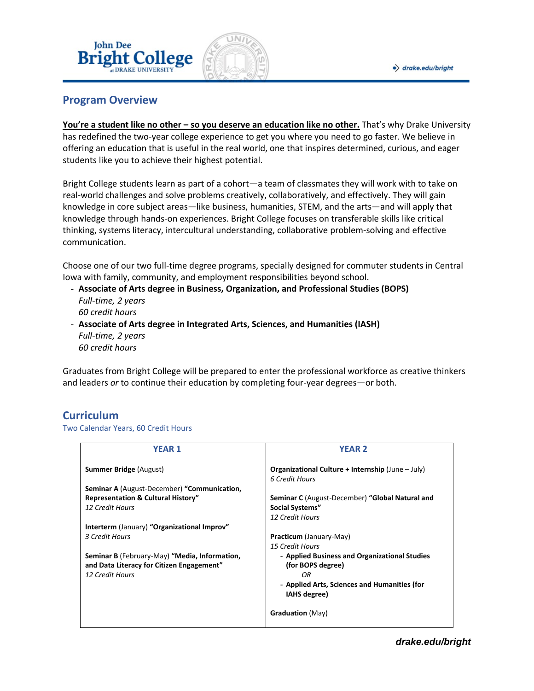

## **Program Overview**

**John Dee** 

**You're a student like no other – so you deserve an education like no other.** That's why Drake University has redefined the two-year college experience to get you where you need to go faster. We believe in offering an education that is useful in the real world, one that inspires determined, curious, and eager students like you to achieve their highest potential.

Bright College students learn as part of a cohort—a team of classmates they will work with to take on real-world challenges and solve problems creatively, collaboratively, and effectively. They will gain knowledge in core subject areas—like business, humanities, STEM, and the arts—and will apply that knowledge through hands-on experiences. Bright College focuses on transferable skills like critical thinking, systems literacy, intercultural understanding, collaborative problem-solving and effective communication.

Choose one of our two full-time degree programs, specially designed for commuter students in Central Iowa with family, community, and employment responsibilities beyond school.

- **Associate of Arts degree in Business, Organization, and Professional Studies (BOPS)** *Full-time, 2 years 60 credit hours*
- **Associate of Arts degree in Integrated Arts, Sciences, and Humanities (IASH)** *Full-time, 2 years 60 credit hours*

Graduates from Bright College will be prepared to enter the professional workforce as creative thinkers and leaders *or* to continue their education by completing four-year degrees—or both.

## **Curriculum**

#### Two Calendar Years, 60 Credit Hours

| <b>YEAR 2</b>                                                              |
|----------------------------------------------------------------------------|
| <b>Organizational Culture + Internship (June – July)</b><br>6 Credit Hours |
|                                                                            |
| Seminar C (August-December) "Global Natural and                            |
| <b>Social Systems"</b>                                                     |
| 12 Credit Hours                                                            |
|                                                                            |
| Practicum (January-May)                                                    |
| 15 Credit Hours                                                            |
| - Applied Business and Organizational Studies                              |
| (for BOPS degree)                                                          |
| OR                                                                         |
| - Applied Arts, Sciences and Humanities (for                               |
| IAHS degree)                                                               |
| <b>Graduation</b> (May)                                                    |
|                                                                            |